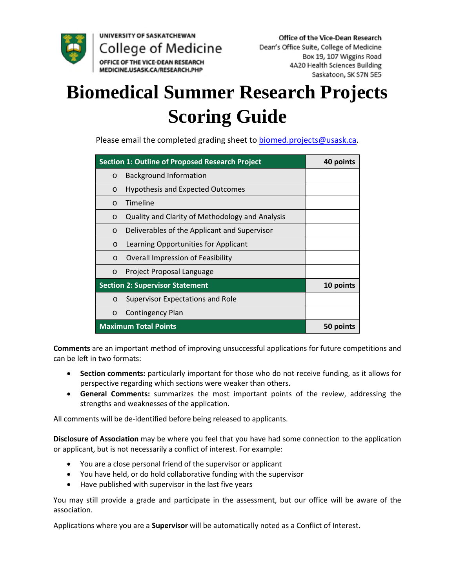

UNIVERSITY OF SASKATCHEWAN College of Medicine OFFICE OF THE VICE-DEAN RESEARCH

# **Biomedical Summer Research Projects Scoring Guide**

Please email the completed grading sheet t[o biomed.projects@usask.ca.](mailto:biomed.projects@usask.ca)

| <b>Section 1: Outline of Proposed Research Project</b> |                                                 | 40 points |
|--------------------------------------------------------|-------------------------------------------------|-----------|
| $\circ$                                                | <b>Background Information</b>                   |           |
| $\circ$                                                | <b>Hypothesis and Expected Outcomes</b>         |           |
| $\circ$                                                | Timeline                                        |           |
| $\circ$                                                | Quality and Clarity of Methodology and Analysis |           |
| $\circ$                                                | Deliverables of the Applicant and Supervisor    |           |
| $\circ$                                                | Learning Opportunities for Applicant            |           |
| $\circ$                                                | Overall Impression of Feasibility               |           |
| $\circ$                                                | Project Proposal Language                       |           |
| <b>Section 2: Supervisor Statement</b>                 |                                                 | 10 points |
| $\circ$                                                | Supervisor Expectations and Role                |           |
| $\circ$                                                | Contingency Plan                                |           |
| <b>Maximum Total Points</b>                            |                                                 | 50 points |

**Comments** are an important method of improving unsuccessful applications for future competitions and can be left in two formats:

- **Section comments:** particularly important for those who do not receive funding, as it allows for perspective regarding which sections were weaker than others.
- **General Comments:** summarizes the most important points of the review, addressing the strengths and weaknesses of the application.

All comments will be de-identified before being released to applicants.

**Disclosure of Association** may be where you feel that you have had some connection to the application or applicant, but is not necessarily a conflict of interest. For example:

- You are a close personal friend of the supervisor or applicant
- You have held, or do hold collaborative funding with the supervisor
- Have published with supervisor in the last five years

You may still provide a grade and participate in the assessment, but our office will be aware of the association.

Applications where you are a **Supervisor** will be automatically noted as a Conflict of Interest.